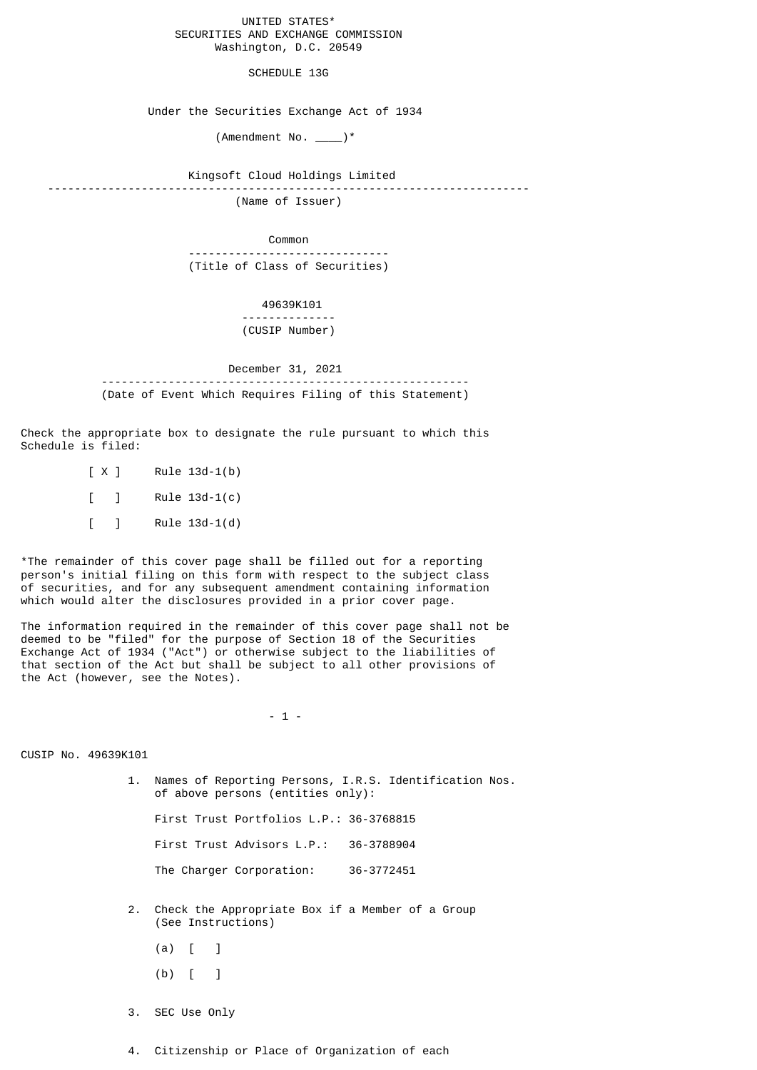## UNITED STATES\* SECURITIES AND EXCHANGE COMMISSION Washington, D.C. 20549

SCHEDULE 13G

Under the Securities Exchange Act of 1934

 $($ Amendment No.  $\rule{1em}{0.7em}$   $\rightarrow$ 

 Kingsoft Cloud Holdings Limited ------------------------------------------------------------------------ (Name of Issuer)

Common

 ------------------------------ (Title of Class of Securities)

> 49639K101 -------------- (CUSIP Number)

 December 31, 2021 ------------------------------------------------------- (Date of Event Which Requires Filing of this Statement)

Check the appropriate box to designate the rule pursuant to which this Schedule is filed:

> [ X ] Rule 13d-1(b)  $[ ]$  Rule 13d-1(c)  $[ ]$  Rule 13d-1(d)

\*The remainder of this cover page shall be filled out for a reporting person's initial filing on this form with respect to the subject class of securities, and for any subsequent amendment containing information which would alter the disclosures provided in a prior cover page.

The information required in the remainder of this cover page shall not be deemed to be "filed" for the purpose of Section 18 of the Securities Exchange Act of 1934 ("Act") or otherwise subject to the liabilities of that section of the Act but shall be subject to all other provisions of the Act (however, see the Notes).

- 1 -

CUSIP No. 49639K101

 1. Names of Reporting Persons, I.R.S. Identification Nos. of above persons (entities only):

First Trust Portfolios L.P.: 36-3768815

First Trust Advisors L.P.: 36-3788904

The Charger Corporation: 36-3772451

- 2. Check the Appropriate Box if a Member of a Group (See Instructions)
	- $(a)$   $\begin{bmatrix} 1 \end{bmatrix}$
	- (b) [ ]
- 3. SEC Use Only
- 4. Citizenship or Place of Organization of each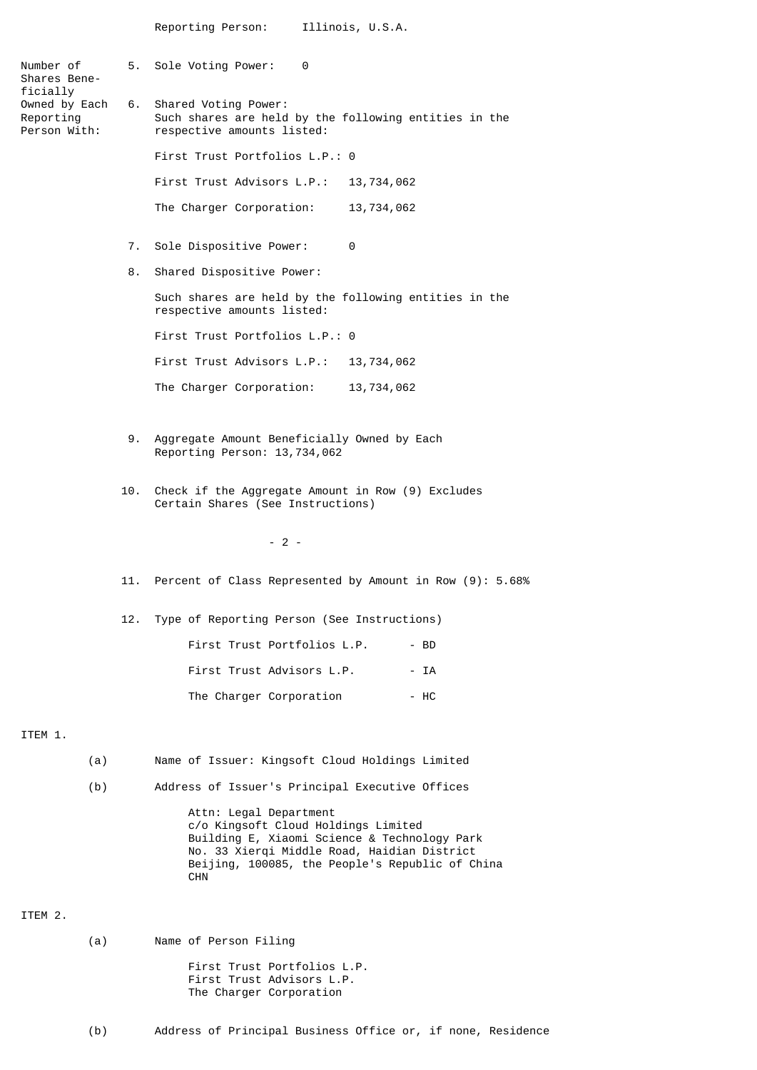| Number of<br>Shares Bene-                              |     | 5. Sole Voting Power:<br>0                                                                                                                                                                                                    |
|--------------------------------------------------------|-----|-------------------------------------------------------------------------------------------------------------------------------------------------------------------------------------------------------------------------------|
| ficially<br>Owned by Each<br>Reporting<br>Person With: |     | 6. Shared Voting Power:<br>Such shares are held by the following entities in the<br>respective amounts listed:                                                                                                                |
|                                                        |     | First Trust Portfolios L.P.: 0                                                                                                                                                                                                |
|                                                        |     | First Trust Advisors L.P.: 13,734,062                                                                                                                                                                                         |
|                                                        |     | The Charger Corporation:<br>13,734,062                                                                                                                                                                                        |
|                                                        | 7.  | Sole Dispositive Power:<br>0                                                                                                                                                                                                  |
|                                                        | 8.  | Shared Dispositive Power:                                                                                                                                                                                                     |
|                                                        |     | Such shares are held by the following entities in the<br>respective amounts listed:                                                                                                                                           |
|                                                        |     | First Trust Portfolios L.P.: 0                                                                                                                                                                                                |
|                                                        |     | First Trust Advisors L.P.: 13,734,062                                                                                                                                                                                         |
|                                                        |     | The Charger Corporation: 13, 734, 062                                                                                                                                                                                         |
|                                                        |     |                                                                                                                                                                                                                               |
|                                                        | 9.  | Aggregate Amount Beneficially Owned by Each<br>Reporting Person: 13,734,062                                                                                                                                                   |
|                                                        | 10. | Check if the Aggregate Amount in Row (9) Excludes<br>Certain Shares (See Instructions)                                                                                                                                        |
|                                                        |     | $-2-$                                                                                                                                                                                                                         |
|                                                        |     | 11. Percent of Class Represented by Amount in Row (9): 5.68%                                                                                                                                                                  |
|                                                        |     | 12. Type of Reporting Person (See Instructions)                                                                                                                                                                               |
|                                                        |     | First Trust Portfolios L.P.<br>- BD                                                                                                                                                                                           |
|                                                        |     | First Trust Advisors L.P.<br>- IA                                                                                                                                                                                             |
|                                                        |     | - HC<br>The Charger Corporation                                                                                                                                                                                               |
| ITEM 1.                                                |     |                                                                                                                                                                                                                               |
| (a)                                                    |     | Name of Issuer: Kingsoft Cloud Holdings Limited                                                                                                                                                                               |
| (b)                                                    |     | Address of Issuer's Principal Executive Offices                                                                                                                                                                               |
|                                                        |     | Attn: Legal Department<br>c/o Kingsoft Cloud Holdings Limited<br>Building E, Xiaomi Science & Technology Park<br>No. 33 Xierqi Middle Road, Haidian District<br>Beijing, 100085, the People's Republic of China<br><b>CHN</b> |
| ITEM 2.                                                |     |                                                                                                                                                                                                                               |

(a) Name of Person Filing

 First Trust Portfolios L.P. First Trust Advisors L.P. The Charger Corporation

(b) Address of Principal Business Office or, if none, Residence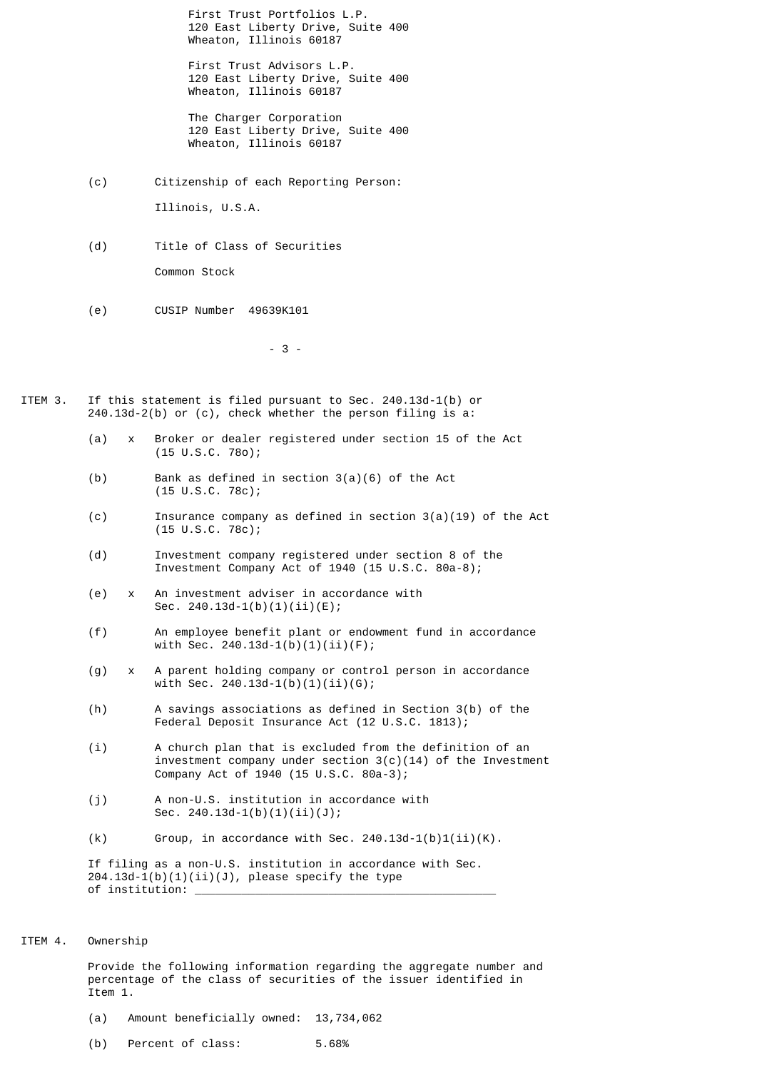First Trust Portfolios L.P. 120 East Liberty Drive, Suite 400 Wheaton, Illinois 60187

 First Trust Advisors L.P. 120 East Liberty Drive, Suite 400 Wheaton, Illinois 60187

 The Charger Corporation 120 East Liberty Drive, Suite 400 Wheaton, Illinois 60187

- (c) Citizenship of each Reporting Person: Illinois, U.S.A.
- (d) Title of Class of Securities Common Stock
- (e) CUSIP Number 49639K101

 $-3$  -

- ITEM 3. If this statement is filed pursuant to Sec. 240.13d-1(b) or 240.13d-2(b) or (c), check whether the person filing is a:
	- (a) x Broker or dealer registered under section 15 of the Act (15 U.S.C. 78o);
	- (b) Bank as defined in section 3(a)(6) of the Act (15 U.S.C. 78c);
	- (c) Insurance company as defined in section 3(a)(19) of the Act (15 U.S.C. 78c);
	- (d) Investment company registered under section 8 of the Investment Company Act of 1940 (15 U.S.C. 80a-8);
	- (e) x An investment adviser in accordance with Sec.  $240.13d-1(b)(1)(ii)(E);$
	- (f) An employee benefit plant or endowment fund in accordance with Sec. 240.13d-1(b)(1)(ii)(F);
	- (g) x A parent holding company or control person in accordance with Sec.  $240.13d-1(b)(1)(ii)(G);$
	- (h) A savings associations as defined in Section 3(b) of the Federal Deposit Insurance Act (12 U.S.C. 1813);
	- (i) A church plan that is excluded from the definition of an investment company under section  $3(c)(14)$  of the Investment Company Act of 1940 (15 U.S.C. 80a-3);
	- (j) A non-U.S. institution in accordance with Sec. 240.13d-1(b)(1)(ii)(J);
	- (k) Group, in accordance with Sec.  $240.13d-1(b)1(i)$ (K).

 If filing as a non-U.S. institution in accordance with Sec.  $204.13d-1(b)(1)(ii)(J)$ , please specify the type of institution:

ITEM 4. Ownership

 Provide the following information regarding the aggregate number and percentage of the class of securities of the issuer identified in Item 1.

- (a) Amount beneficially owned: 13,734,062
- (b) Percent of class: 5.68%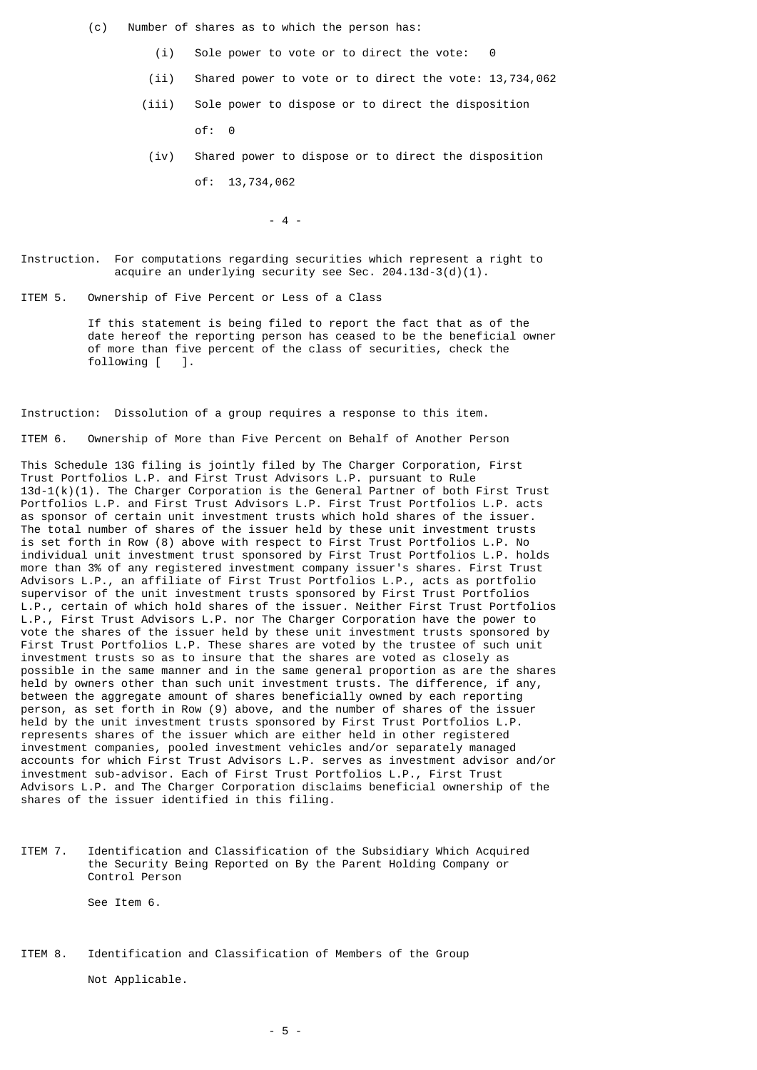(c) Number of shares as to which the person has:

- $(i)$  Sole power to vote or to direct the vote:
- (ii) Shared power to vote or to direct the vote: 13,734,062
- (iii) Sole power to dispose or to direct the disposition of: 0
- (iv) Shared power to dispose or to direct the disposition of: 13,734,062

 $-4$  -

Instruction. For computations regarding securities which represent a right to acquire an underlying security see Sec.  $204.13d-3(d)(1)$ .

ITEM 5. Ownership of Five Percent or Less of a Class

 If this statement is being filed to report the fact that as of the date hereof the reporting person has ceased to be the beneficial owner of more than five percent of the class of securities, check the following [ ].

Instruction: Dissolution of a group requires a response to this item.

ITEM 6. Ownership of More than Five Percent on Behalf of Another Person

This Schedule 13G filing is jointly filed by The Charger Corporation, First Trust Portfolios L.P. and First Trust Advisors L.P. pursuant to Rule  $13d-1(k)(1)$ . The Charger Corporation is the General Partner of both First Trust Portfolios L.P. and First Trust Advisors L.P. First Trust Portfolios L.P. acts as sponsor of certain unit investment trusts which hold shares of the issuer. The total number of shares of the issuer held by these unit investment trusts is set forth in Row (8) above with respect to First Trust Portfolios L.P. No individual unit investment trust sponsored by First Trust Portfolios L.P. holds more than 3% of any registered investment company issuer's shares. First Trust Advisors L.P., an affiliate of First Trust Portfolios L.P., acts as portfolio supervisor of the unit investment trusts sponsored by First Trust Portfolios L.P., certain of which hold shares of the issuer. Neither First Trust Portfolios L.P., First Trust Advisors L.P. nor The Charger Corporation have the power to vote the shares of the issuer held by these unit investment trusts sponsored by First Trust Portfolios L.P. These shares are voted by the trustee of such unit investment trusts so as to insure that the shares are voted as closely as possible in the same manner and in the same general proportion as are the shares held by owners other than such unit investment trusts. The difference, if any, between the aggregate amount of shares beneficially owned by each reporting person, as set forth in Row (9) above, and the number of shares of the issuer held by the unit investment trusts sponsored by First Trust Portfolios L.P. represents shares of the issuer which are either held in other registered investment companies, pooled investment vehicles and/or separately managed accounts for which First Trust Advisors L.P. serves as investment advisor and/or investment sub-advisor. Each of First Trust Portfolios L.P., First Trust Advisors L.P. and The Charger Corporation disclaims beneficial ownership of the shares of the issuer identified in this filing.

ITEM 7. Identification and Classification of the Subsidiary Which Acquired the Security Being Reported on By the Parent Holding Company or Control Person

See Item 6.

ITEM 8. Identification and Classification of Members of the Group

Not Applicable.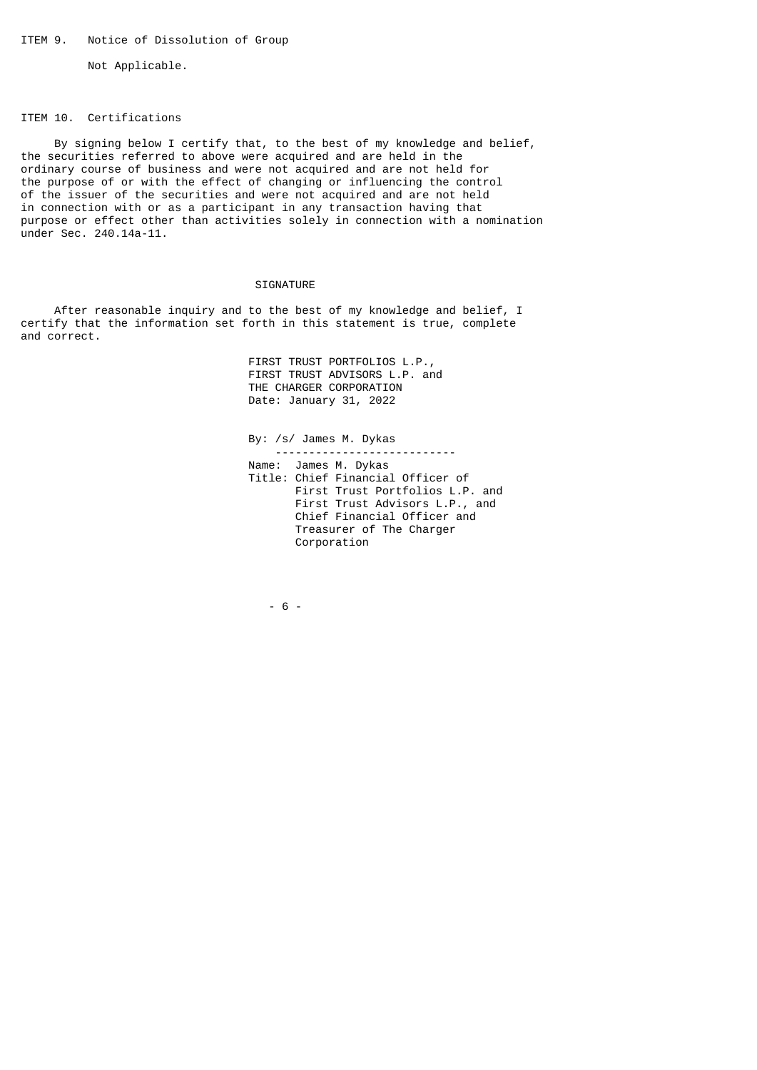Not Applicable.

## ITEM 10. Certifications

 By signing below I certify that, to the best of my knowledge and belief, the securities referred to above were acquired and are held in the ordinary course of business and were not acquired and are not held for the purpose of or with the effect of changing or influencing the control of the issuer of the securities and were not acquired and are not held in connection with or as a participant in any transaction having that purpose or effect other than activities solely in connection with a nomination under Sec. 240.14a-11.

## SIGNATURE

 After reasonable inquiry and to the best of my knowledge and belief, I certify that the information set forth in this statement is true, complete and correct.

> FIRST TRUST PORTFOLIOS L.P., FIRST TRUST ADVISORS L.P. and THE CHARGER CORPORATION Date: January 31, 2022

 By: /s/ James M. Dykas --------------------------- Name: James M. Dykas Title: Chief Financial Officer of First Trust Portfolios L.P. and First Trust Advisors L.P., and Chief Financial Officer and Treasurer of The Charger Corporation

 $- 6 - 6$